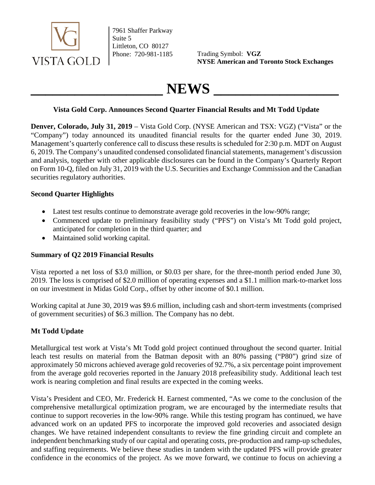

7961 Shaffer Parkway Suite 5 Littleton, CO 80127

Phone: 720-981-1185 Trading Symbol: VGZ **NYSE American and Toronto Stock Exchanges**

# $NEWS$

#### **Vista Gold Corp. Announces Second Quarter Financial Results and Mt Todd Update**

**Denver, Colorado, July 31, 2019** – Vista Gold Corp. (NYSE American and TSX: VGZ) ("Vista" or the "Company") today announced its unaudited financial results for the quarter ended June 30, 2019. Management's quarterly conference call to discuss these results is scheduled for 2:30 p.m. MDT on August 6, 2019. The Company's unaudited condensed consolidated financial statements, management's discussion and analysis, together with other applicable disclosures can be found in the Company's Quarterly Report on Form 10-Q, filed on July 31, 2019 with the U.S. Securities and Exchange Commission and the Canadian securities regulatory authorities.

### **Second Quarter Highlights**

- Latest test results continue to demonstrate average gold recoveries in the low-90% range;
- Commenced update to preliminary feasibility study ("PFS") on Vista's Mt Todd gold project, anticipated for completion in the third quarter; and
- Maintained solid working capital.

# **Summary of Q2 2019 Financial Results**

Vista reported a net loss of \$3.0 million, or \$0.03 per share, for the three-month period ended June 30, 2019. The loss is comprised of \$2.0 million of operating expenses and a \$1.1 million mark-to-market loss on our investment in Midas Gold Corp., offset by other income of \$0.1 million.

Working capital at June 30, 2019 was \$9.6 million, including cash and short-term investments (comprised of government securities) of \$6.3 million. The Company has no debt.

# **Mt Todd Update**

Metallurgical test work at Vista's Mt Todd gold project continued throughout the second quarter. Initial leach test results on material from the Batman deposit with an 80% passing ("P80") grind size of approximately 50 microns achieved average gold recoveries of 92.7%, a six percentage point improvement from the average gold recoveries reported in the January 2018 prefeasibility study. Additional leach test work is nearing completion and final results are expected in the coming weeks.

Vista's President and CEO, Mr. Frederick H. Earnest commented, "As we come to the conclusion of the comprehensive metallurgical optimization program, we are encouraged by the intermediate results that continue to support recoveries in the low-90% range. While this testing program has continued, we have advanced work on an updated PFS to incorporate the improved gold recoveries and associated design changes. We have retained independent consultants to review the fine grinding circuit and complete an independent benchmarking study of our capital and operating costs, pre-production and ramp-up schedules, and staffing requirements. We believe these studies in tandem with the updated PFS will provide greater confidence in the economics of the project. As we move forward, we continue to focus on achieving a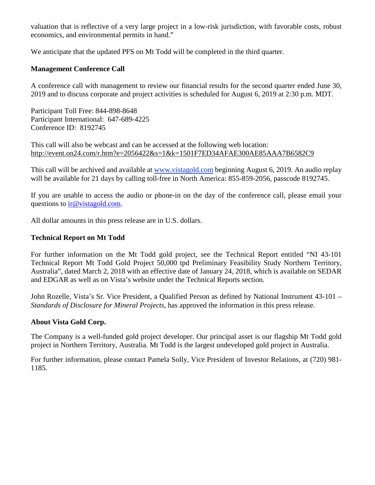valuation that is reflective of a very large project in a low-risk jurisdiction, with favorable costs, robust economics, and environmental permits in hand."

We anticipate that the updated PFS on Mt Todd will be completed in the third quarter.

#### **Management Conference Call**

A conference call with management to review our financial results for the second quarter ended June 30, 2019 and to discuss corporate and project activities is scheduled for August 6, 2019 at 2:30 p.m. MDT.

Participant Toll Free: 844-898-8648 Participant International: 647-689-4225 Conference ID: 8192745

This call will also be webcast and can be accessed at the following web location: <http://event.on24.com/r.htm?e=2056422&s=1&k=1501F7ED34AFAE300AE85AAA7B6582C9>

This call will be archived and available at [www.vistagold.com](http://www.vistagold.com/) beginning August 6, 2019. An audio replay will be available for 21 days by calling toll-free in North America: 855-859-2056, passcode 8192745.

If you are unable to access the audio or phone-in on the day of the conference call, please email your questions to [ir@vistagold.com.](mailto:ir@vistagold.com)

All dollar amounts in this press release are in U.S. dollars.

#### **Technical Report on Mt Todd**

For further information on the Mt Todd gold project, see the Technical Report entitled "NI 43-101 Technical Report Mt Todd Gold Project 50,000 tpd Preliminary Feasibility Study Northern Territory, Australia", dated March 2, 2018 with an effective date of January 24, 2018, which is available on SEDAR and EDGAR as well as on Vista's website under the Technical Reports section.

John Rozelle, Vista's Sr. Vice President, a Qualified Person as defined by National Instrument 43-101 – *Standards of Disclosure for Mineral Projects*, has approved the information in this press release.

#### **About Vista Gold Corp.**

The Company is a well-funded gold project developer. Our principal asset is our flagship Mt Todd gold project in Northern Territory, Australia. Mt Todd is the largest undeveloped gold project in Australia.

For further information, please contact Pamela Solly, Vice President of Investor Relations, at (720) 981- 1185.